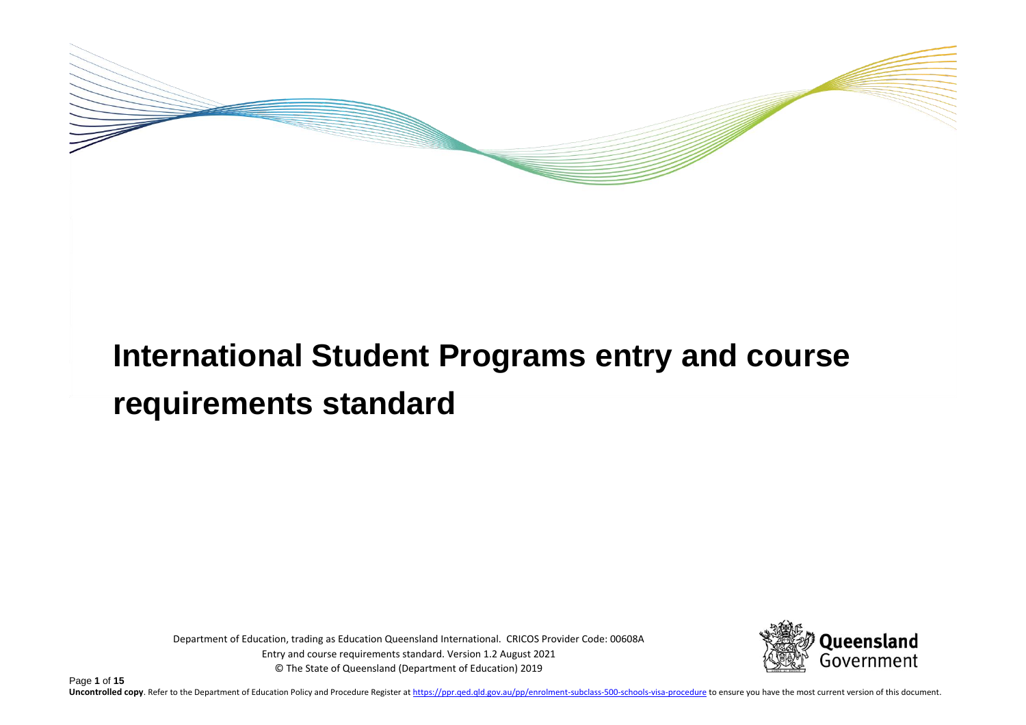

# **International Student Programs entry and course requirements standard**

Department of Education, trading as Education Queensland International. CRICOS Provider Code: 00608A Entry and course requirements standard. Version 1.2 August 2021 © The State of Queensland (Department of Education) 2019



Page **1** of **15** Uncontrolled copy. Refer to the Department of Education Policy and Procedure Register at https://ppr.ged.gld.gov.au/pp/enrolment-subclass-500-schools-visa-procedure to ensure you have the most current version of this docum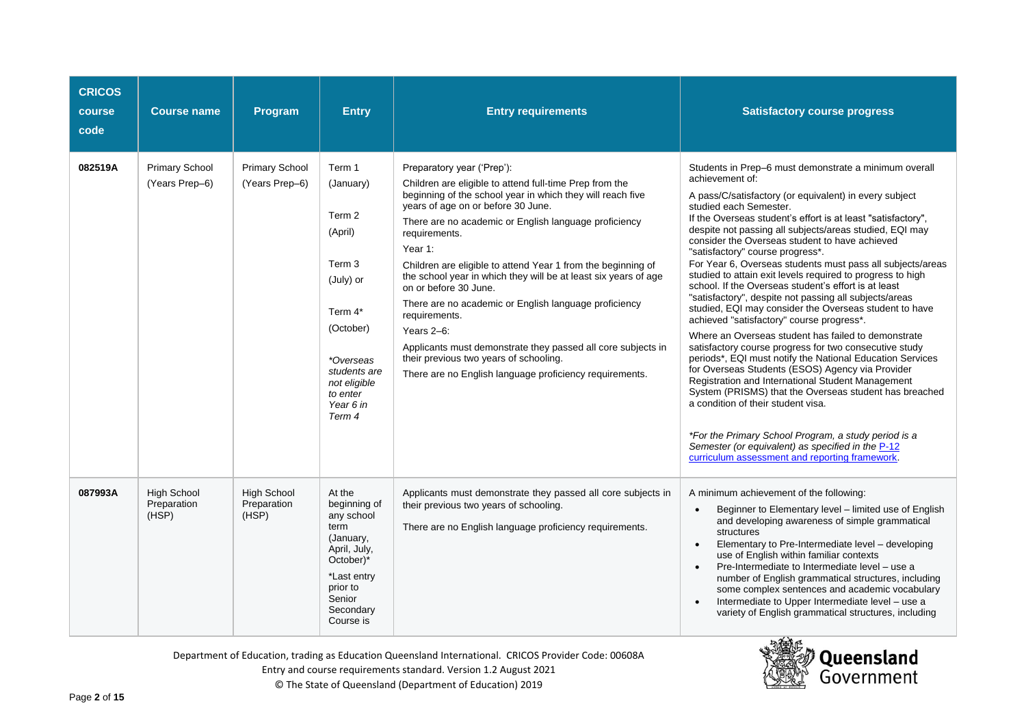| <b>CRICOS</b><br>course<br>code | <b>Course name</b>                         | Program                                    | <b>Entry</b>                                                                                                                                                                       | <b>Entry requirements</b>                                                                                                                                                                                                                                                                                                                                                                                                                                                                                                                                                                                                                                                                               | <b>Satisfactory course progress</b>                                                                                                                                                                                                                                                                                                                                                                                                                                                                                                                                                                                                                                                                                                                                                                                                                                                                                                                                                                                                                                                                                                                                                                                                                                                      |  |
|---------------------------------|--------------------------------------------|--------------------------------------------|------------------------------------------------------------------------------------------------------------------------------------------------------------------------------------|---------------------------------------------------------------------------------------------------------------------------------------------------------------------------------------------------------------------------------------------------------------------------------------------------------------------------------------------------------------------------------------------------------------------------------------------------------------------------------------------------------------------------------------------------------------------------------------------------------------------------------------------------------------------------------------------------------|------------------------------------------------------------------------------------------------------------------------------------------------------------------------------------------------------------------------------------------------------------------------------------------------------------------------------------------------------------------------------------------------------------------------------------------------------------------------------------------------------------------------------------------------------------------------------------------------------------------------------------------------------------------------------------------------------------------------------------------------------------------------------------------------------------------------------------------------------------------------------------------------------------------------------------------------------------------------------------------------------------------------------------------------------------------------------------------------------------------------------------------------------------------------------------------------------------------------------------------------------------------------------------------|--|
| 082519A                         | <b>Primary School</b><br>(Years Prep-6)    | <b>Primary School</b><br>(Years Prep-6)    | Term 1<br>(January)<br>Term 2<br>(April)<br>Term <sub>3</sub><br>(July) or<br>Term 4*<br>(October)<br>*Overseas<br>students are<br>not eligible<br>to enter<br>Year 6 in<br>Term 4 | Preparatory year ('Prep'):<br>Children are eligible to attend full-time Prep from the<br>beginning of the school year in which they will reach five<br>years of age on or before 30 June.<br>There are no academic or English language proficiency<br>requirements.<br>Year 1:<br>Children are eligible to attend Year 1 from the beginning of<br>the school year in which they will be at least six years of age<br>on or before 30 June.<br>There are no academic or English language proficiency<br>requirements.<br>Years 2-6:<br>Applicants must demonstrate they passed all core subjects in<br>their previous two years of schooling.<br>There are no English language proficiency requirements. | Students in Prep-6 must demonstrate a minimum overall<br>achievement of:<br>A pass/C/satisfactory (or equivalent) in every subject<br>studied each Semester.<br>If the Overseas student's effort is at least "satisfactory",<br>despite not passing all subjects/areas studied, EQI may<br>consider the Overseas student to have achieved<br>"satisfactory" course progress*.<br>For Year 6, Overseas students must pass all subjects/areas<br>studied to attain exit levels required to progress to high<br>school. If the Overseas student's effort is at least<br>"satisfactory", despite not passing all subjects/areas<br>studied, EQI may consider the Overseas student to have<br>achieved "satisfactory" course progress*.<br>Where an Overseas student has failed to demonstrate<br>satisfactory course progress for two consecutive study<br>periods*, EQI must notify the National Education Services<br>for Overseas Students (ESOS) Agency via Provider<br>Registration and International Student Management<br>System (PRISMS) that the Overseas student has breached<br>a condition of their student visa.<br>*For the Primary School Program, a study period is a<br>Semester (or equivalent) as specified in the P-12<br>curriculum assessment and reporting framework. |  |
| 087993A                         | <b>High School</b><br>Preparation<br>(HSP) | <b>High School</b><br>Preparation<br>(HSP) | At the<br>beginning of<br>any school<br>term<br>(January,<br>April, July,<br>October)*<br>*Last entry<br>prior to<br>Senior<br>Secondary<br>Course is                              | Applicants must demonstrate they passed all core subjects in<br>their previous two years of schooling.<br>There are no English language proficiency requirements.                                                                                                                                                                                                                                                                                                                                                                                                                                                                                                                                       | A minimum achievement of the following:<br>Beginner to Elementary level - limited use of English<br>$\bullet$<br>and developing awareness of simple grammatical<br>structures<br>Elementary to Pre-Intermediate level - developing<br>$\bullet$<br>use of English within familiar contexts<br>Pre-Intermediate to Intermediate level - use a<br>number of English grammatical structures, including<br>some complex sentences and academic vocabulary<br>Intermediate to Upper Intermediate level - use a<br>variety of English grammatical structures, including                                                                                                                                                                                                                                                                                                                                                                                                                                                                                                                                                                                                                                                                                                                        |  |



Department of Education, trading as Education Queensland International. CRICOS Provider Code: 00608A

Entry and course requirements standard. Version 1.2 August 2021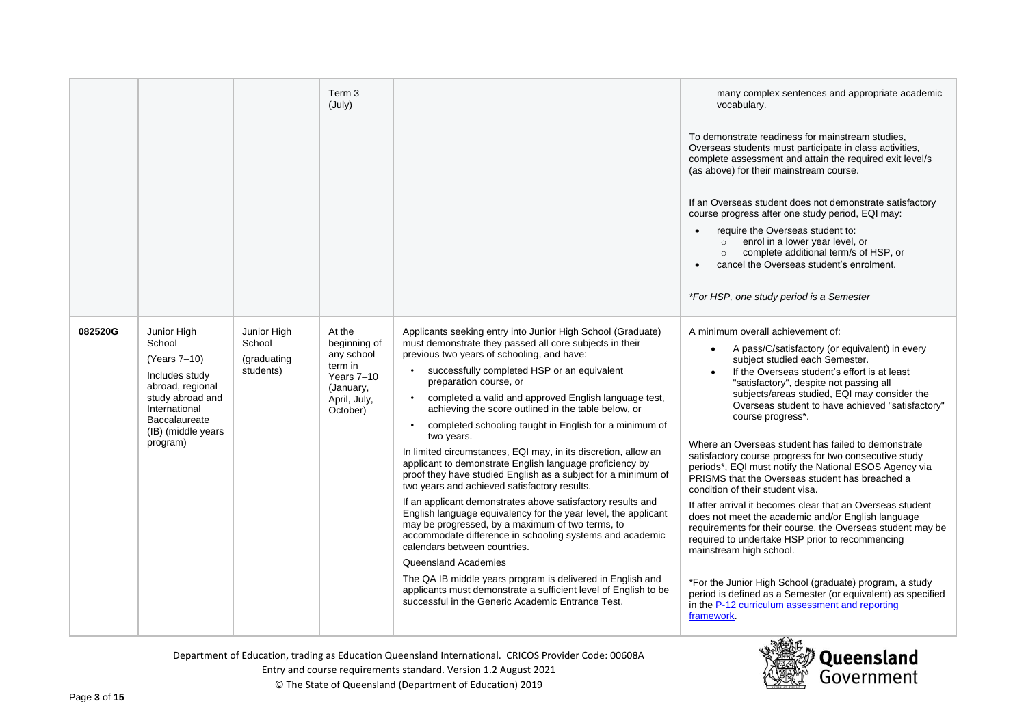|         |                                                                                                                                                                     |                                                   | Term <sub>3</sub><br>(July)                                                                            |                                                                                                                                                                                                                                                                                                                                                                                                                                                                                                                                                                                                                                                                                                                                                                                                                                                                                                                                                                                                                                                                                                                                                                                     | many complex sentences and appropriate academic<br>vocabulary.<br>To demonstrate readiness for mainstream studies,<br>Overseas students must participate in class activities,<br>complete assessment and attain the required exit level/s<br>(as above) for their mainstream course.<br>If an Overseas student does not demonstrate satisfactory<br>course progress after one study period, EQI may:<br>require the Overseas student to:<br>enrol in a lower year level, or<br>$\circ$<br>complete additional term/s of HSP, or<br>$\circ$<br>cancel the Overseas student's enrolment.<br>*For HSP, one study period is a Semester                                                                                                                                                                                                                                                                                                                                                                                                                                      |
|---------|---------------------------------------------------------------------------------------------------------------------------------------------------------------------|---------------------------------------------------|--------------------------------------------------------------------------------------------------------|-------------------------------------------------------------------------------------------------------------------------------------------------------------------------------------------------------------------------------------------------------------------------------------------------------------------------------------------------------------------------------------------------------------------------------------------------------------------------------------------------------------------------------------------------------------------------------------------------------------------------------------------------------------------------------------------------------------------------------------------------------------------------------------------------------------------------------------------------------------------------------------------------------------------------------------------------------------------------------------------------------------------------------------------------------------------------------------------------------------------------------------------------------------------------------------|-------------------------------------------------------------------------------------------------------------------------------------------------------------------------------------------------------------------------------------------------------------------------------------------------------------------------------------------------------------------------------------------------------------------------------------------------------------------------------------------------------------------------------------------------------------------------------------------------------------------------------------------------------------------------------------------------------------------------------------------------------------------------------------------------------------------------------------------------------------------------------------------------------------------------------------------------------------------------------------------------------------------------------------------------------------------------|
| 082520G | Junior High<br>School<br>(Years 7-10)<br>Includes study<br>abroad, regional<br>study abroad and<br>International<br>Baccalaureate<br>(IB) (middle years<br>program) | Junior High<br>School<br>(graduating<br>students) | At the<br>beginning of<br>any school<br>term in<br>Years 7-10<br>(January,<br>April, July,<br>October) | Applicants seeking entry into Junior High School (Graduate)<br>must demonstrate they passed all core subjects in their<br>previous two years of schooling, and have:<br>successfully completed HSP or an equivalent<br>preparation course, or<br>completed a valid and approved English language test,<br>achieving the score outlined in the table below, or<br>completed schooling taught in English for a minimum of<br>two years.<br>In limited circumstances, EQI may, in its discretion, allow an<br>applicant to demonstrate English language proficiency by<br>proof they have studied English as a subject for a minimum of<br>two years and achieved satisfactory results.<br>If an applicant demonstrates above satisfactory results and<br>English language equivalency for the year level, the applicant<br>may be progressed, by a maximum of two terms, to<br>accommodate difference in schooling systems and academic<br>calendars between countries.<br>Queensland Academies<br>The QA IB middle years program is delivered in English and<br>applicants must demonstrate a sufficient level of English to be<br>successful in the Generic Academic Entrance Test. | A minimum overall achievement of:<br>A pass/C/satisfactory (or equivalent) in every<br>subject studied each Semester.<br>If the Overseas student's effort is at least<br>"satisfactory", despite not passing all<br>subjects/areas studied, EQI may consider the<br>Overseas student to have achieved "satisfactory"<br>course progress*.<br>Where an Overseas student has failed to demonstrate<br>satisfactory course progress for two consecutive study<br>periods*, EQI must notify the National ESOS Agency via<br>PRISMS that the Overseas student has breached a<br>condition of their student visa.<br>If after arrival it becomes clear that an Overseas student<br>does not meet the academic and/or English language<br>requirements for their course, the Overseas student may be<br>required to undertake HSP prior to recommencing<br>mainstream high school.<br>*For the Junior High School (graduate) program, a study<br>period is defined as a Semester (or equivalent) as specified<br>in the P-12 curriculum assessment and reporting<br>framework. |

Department of Education, trading as Education Queensland International. CRICOS Provider Code: 00608A

Entry and course requirements standard. Version 1.2 August 2021

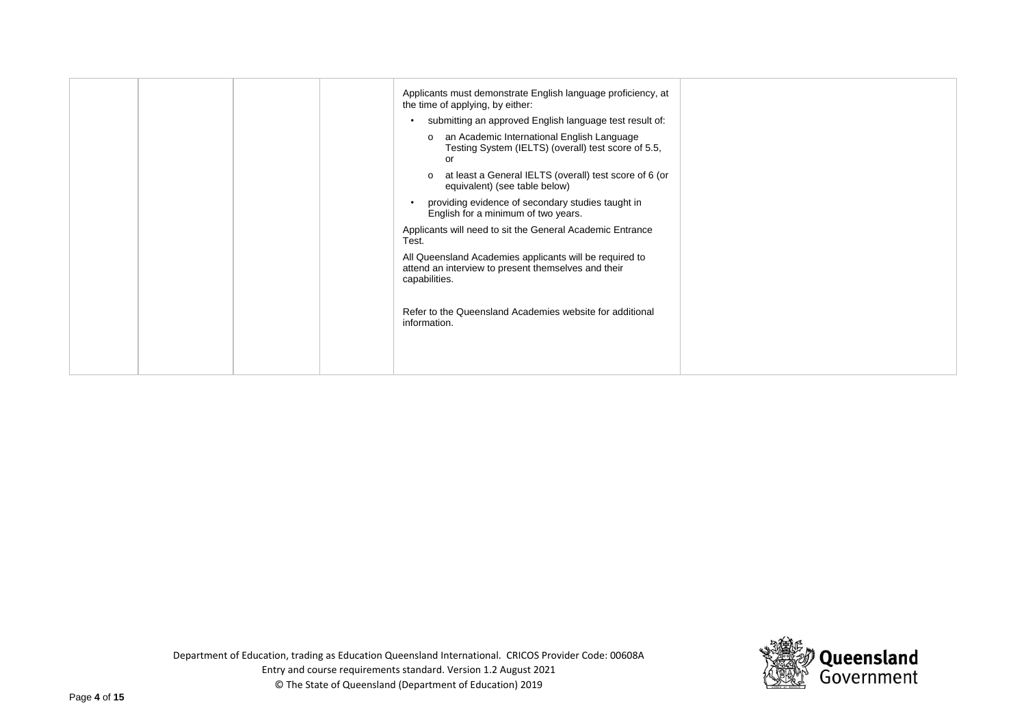|  | Applicants must demonstrate English language proficiency, at<br>the time of applying, by either:<br>submitting an approved English language test result of:<br>an Academic International English Language<br>$\mathbf{o}$<br>Testing System (IELTS) (overall) test score of 5.5,<br>or<br>at least a General IELTS (overall) test score of 6 (or<br>$\Omega$<br>equivalent) (see table below)<br>providing evidence of secondary studies taught in<br>English for a minimum of two years.<br>Applicants will need to sit the General Academic Entrance<br>Test.<br>All Queensland Academies applicants will be required to<br>attend an interview to present themselves and their<br>capabilities.<br>Refer to the Queensland Academies website for additional<br>information. |  |
|--|--------------------------------------------------------------------------------------------------------------------------------------------------------------------------------------------------------------------------------------------------------------------------------------------------------------------------------------------------------------------------------------------------------------------------------------------------------------------------------------------------------------------------------------------------------------------------------------------------------------------------------------------------------------------------------------------------------------------------------------------------------------------------------|--|
|--|--------------------------------------------------------------------------------------------------------------------------------------------------------------------------------------------------------------------------------------------------------------------------------------------------------------------------------------------------------------------------------------------------------------------------------------------------------------------------------------------------------------------------------------------------------------------------------------------------------------------------------------------------------------------------------------------------------------------------------------------------------------------------------|--|

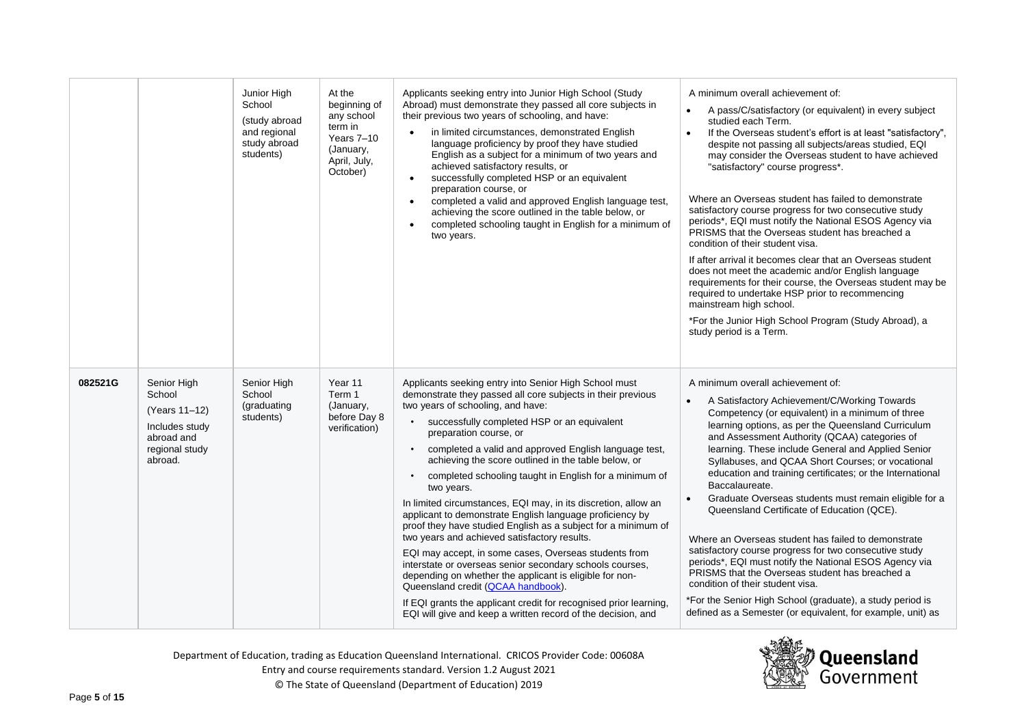|         |                                                                                                     | Junior High<br>School<br>(study abroad<br>and regional<br>study abroad<br>students) | At the<br>beginning of<br>any school<br>term in<br>Years 7-10<br>(January,<br>April, July,<br>October) | Applicants seeking entry into Junior High School (Study<br>Abroad) must demonstrate they passed all core subjects in<br>their previous two years of schooling, and have:<br>in limited circumstances, demonstrated English<br>language proficiency by proof they have studied<br>English as a subject for a minimum of two years and<br>achieved satisfactory results, or<br>successfully completed HSP or an equivalent<br>preparation course, or<br>completed a valid and approved English language test,<br>$\bullet$<br>achieving the score outlined in the table below, or<br>completed schooling taught in English for a minimum of<br>two years.                                                                                                                                                                                                                                                                                                                                                                                           | A minimum overall achievement of:<br>A pass/C/satisfactory (or equivalent) in every subject<br>$\bullet$<br>studied each Term.<br>If the Overseas student's effort is at least "satisfactory",<br>$\bullet$<br>despite not passing all subjects/areas studied, EQI<br>may consider the Overseas student to have achieved<br>"satisfactory" course progress*.<br>Where an Overseas student has failed to demonstrate<br>satisfactory course progress for two consecutive study<br>periods*, EQI must notify the National ESOS Agency via<br>PRISMS that the Overseas student has breached a<br>condition of their student visa.<br>If after arrival it becomes clear that an Overseas student<br>does not meet the academic and/or English language<br>requirements for their course, the Overseas student may be<br>required to undertake HSP prior to recommencing<br>mainstream high school.<br>*For the Junior High School Program (Study Abroad), a<br>study period is a Term. |
|---------|-----------------------------------------------------------------------------------------------------|-------------------------------------------------------------------------------------|--------------------------------------------------------------------------------------------------------|---------------------------------------------------------------------------------------------------------------------------------------------------------------------------------------------------------------------------------------------------------------------------------------------------------------------------------------------------------------------------------------------------------------------------------------------------------------------------------------------------------------------------------------------------------------------------------------------------------------------------------------------------------------------------------------------------------------------------------------------------------------------------------------------------------------------------------------------------------------------------------------------------------------------------------------------------------------------------------------------------------------------------------------------------|------------------------------------------------------------------------------------------------------------------------------------------------------------------------------------------------------------------------------------------------------------------------------------------------------------------------------------------------------------------------------------------------------------------------------------------------------------------------------------------------------------------------------------------------------------------------------------------------------------------------------------------------------------------------------------------------------------------------------------------------------------------------------------------------------------------------------------------------------------------------------------------------------------------------------------------------------------------------------------|
| 082521G | Senior High<br>School<br>(Years 11-12)<br>Includes study<br>abroad and<br>regional study<br>abroad. | Senior High<br>School<br>(graduating<br>students)                                   | Year 11<br>Term 1<br>(January,<br>before Day 8<br>verification)                                        | Applicants seeking entry into Senior High School must<br>demonstrate they passed all core subjects in their previous<br>two years of schooling, and have:<br>successfully completed HSP or an equivalent<br>preparation course, or<br>completed a valid and approved English language test,<br>$\bullet$<br>achieving the score outlined in the table below, or<br>completed schooling taught in English for a minimum of<br>two years.<br>In limited circumstances, EQI may, in its discretion, allow an<br>applicant to demonstrate English language proficiency by<br>proof they have studied English as a subject for a minimum of<br>two years and achieved satisfactory results.<br>EQI may accept, in some cases, Overseas students from<br>interstate or overseas senior secondary schools courses,<br>depending on whether the applicant is eligible for non-<br>Queensland credit (QCAA handbook).<br>If EQI grants the applicant credit for recognised prior learning,<br>EQI will give and keep a written record of the decision, and | A minimum overall achievement of:<br>A Satisfactory Achievement/C/Working Towards<br>Competency (or equivalent) in a minimum of three<br>learning options, as per the Queensland Curriculum<br>and Assessment Authority (QCAA) categories of<br>learning. These include General and Applied Senior<br>Syllabuses, and QCAA Short Courses; or vocational<br>education and training certificates; or the International<br>Baccalaureate.<br>Graduate Overseas students must remain eligible for a<br>$\bullet$<br>Queensland Certificate of Education (QCE).<br>Where an Overseas student has failed to demonstrate<br>satisfactory course progress for two consecutive study<br>periods*, EQI must notify the National ESOS Agency via<br>PRISMS that the Overseas student has breached a<br>condition of their student visa.<br>*For the Senior High School (graduate), a study period is<br>defined as a Semester (or equivalent, for example, unit) as                           |



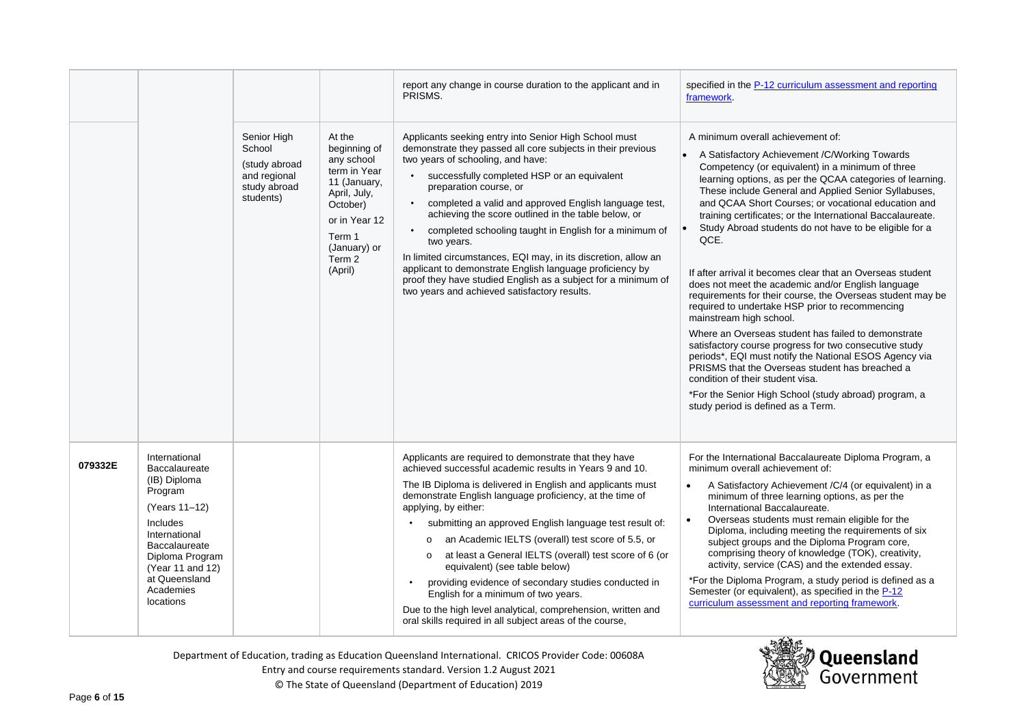|         |                                                                                                                                                                                                            |                                                                                     |                                                                                                                                                                  | report any change in course duration to the applicant and in<br>PRISMS.                                                                                                                                                                                                                                                                                                                                                                                                                                                                                                                                                                                                                                               | specified in the P-12 curriculum assessment and reporting<br>framework.                                                                                                                                                                                                                                                                                                                                                                                                                                                                                                                                                                                                                                                                                                                                                                                                                                                                                                                                                                                                               |  |
|---------|------------------------------------------------------------------------------------------------------------------------------------------------------------------------------------------------------------|-------------------------------------------------------------------------------------|------------------------------------------------------------------------------------------------------------------------------------------------------------------|-----------------------------------------------------------------------------------------------------------------------------------------------------------------------------------------------------------------------------------------------------------------------------------------------------------------------------------------------------------------------------------------------------------------------------------------------------------------------------------------------------------------------------------------------------------------------------------------------------------------------------------------------------------------------------------------------------------------------|---------------------------------------------------------------------------------------------------------------------------------------------------------------------------------------------------------------------------------------------------------------------------------------------------------------------------------------------------------------------------------------------------------------------------------------------------------------------------------------------------------------------------------------------------------------------------------------------------------------------------------------------------------------------------------------------------------------------------------------------------------------------------------------------------------------------------------------------------------------------------------------------------------------------------------------------------------------------------------------------------------------------------------------------------------------------------------------|--|
|         |                                                                                                                                                                                                            | Senior High<br>School<br>(study abroad<br>and regional<br>study abroad<br>students) | At the<br>beginning of<br>any school<br>term in Year<br>11 (January,<br>April, July,<br>October)<br>or in Year 12<br>Term 1<br>(January) or<br>Term 2<br>(April) | Applicants seeking entry into Senior High School must<br>demonstrate they passed all core subjects in their previous<br>two years of schooling, and have:<br>• successfully completed HSP or an equivalent<br>preparation course, or<br>completed a valid and approved English language test,<br>achieving the score outlined in the table below, or<br>completed schooling taught in English for a minimum of<br>two years.<br>In limited circumstances, EQI may, in its discretion, allow an<br>applicant to demonstrate English language proficiency by<br>proof they have studied English as a subject for a minimum of<br>two years and achieved satisfactory results.                                           | A minimum overall achievement of:<br>A Satisfactory Achievement / C/ Working Towards<br>Competency (or equivalent) in a minimum of three<br>learning options, as per the QCAA categories of learning.<br>These include General and Applied Senior Syllabuses,<br>and QCAA Short Courses; or vocational education and<br>training certificates; or the International Baccalaureate.<br>Study Abroad students do not have to be eligible for a<br>QCE.<br>If after arrival it becomes clear that an Overseas student<br>does not meet the academic and/or English language<br>requirements for their course, the Overseas student may be<br>required to undertake HSP prior to recommencing<br>mainstream high school.<br>Where an Overseas student has failed to demonstrate<br>satisfactory course progress for two consecutive study<br>periods*, EQI must notify the National ESOS Agency via<br>PRISMS that the Overseas student has breached a<br>condition of their student visa.<br>*For the Senior High School (study abroad) program, a<br>study period is defined as a Term. |  |
| 079332E | International<br>Baccalaureate<br>(IB) Diploma<br>Program<br>(Years 11-12)<br>Includes<br>International<br>Baccalaureate<br>Diploma Program<br>(Year 11 and 12)<br>at Queensland<br>Academies<br>locations |                                                                                     |                                                                                                                                                                  | Applicants are required to demonstrate that they have<br>achieved successful academic results in Years 9 and 10.<br>The IB Diploma is delivered in English and applicants must<br>demonstrate English language proficiency, at the time of<br>applying, by either:<br>submitting an approved English language test result of:<br>o an Academic IELTS (overall) test score of 5.5, or<br>at least a General IELTS (overall) test score of 6 (or<br>$\circ$<br>equivalent) (see table below)<br>providing evidence of secondary studies conducted in<br>English for a minimum of two years.<br>Due to the high level analytical, comprehension, written and<br>oral skills required in all subject areas of the course, | For the International Baccalaureate Diploma Program, a<br>minimum overall achievement of:<br>A Satisfactory Achievement / C/4 (or equivalent) in a<br>minimum of three learning options, as per the<br>International Baccalaureate.<br>Overseas students must remain eligible for the<br>$\bullet$<br>Diploma, including meeting the requirements of six<br>subject groups and the Diploma Program core,<br>comprising theory of knowledge (TOK), creativity,<br>activity, service (CAS) and the extended essay.<br>*For the Diploma Program, a study period is defined as a<br>Semester (or equivalent), as specified in the P-12<br>curriculum assessment and reporting framework.                                                                                                                                                                                                                                                                                                                                                                                                  |  |



Entry and course requirements standard. Version 1.2 August 2021

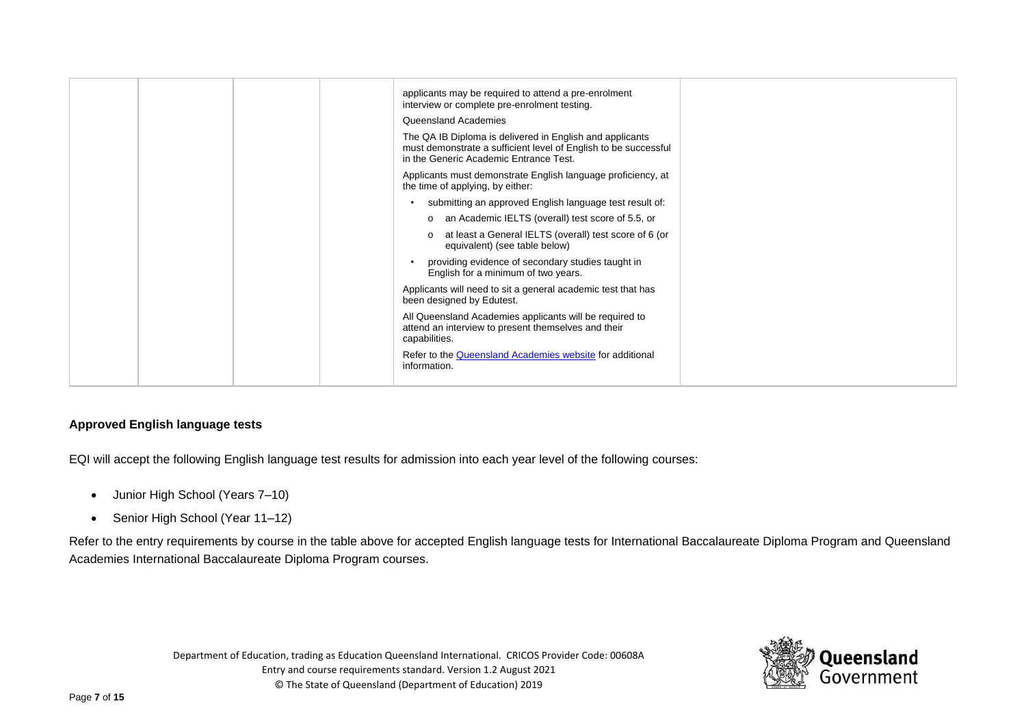|  |  | applicants may be required to attend a pre-enrolment<br>interview or complete pre-enrolment testing.                                                                  |  |
|--|--|-----------------------------------------------------------------------------------------------------------------------------------------------------------------------|--|
|  |  | Queensland Academies                                                                                                                                                  |  |
|  |  | The QA IB Diploma is delivered in English and applicants<br>must demonstrate a sufficient level of English to be successful<br>in the Generic Academic Entrance Test. |  |
|  |  | Applicants must demonstrate English language proficiency, at<br>the time of applying, by either:                                                                      |  |
|  |  | submitting an approved English language test result of:                                                                                                               |  |
|  |  | o an Academic IELTS (overall) test score of 5.5, or                                                                                                                   |  |
|  |  | at least a General IELTS (overall) test score of 6 (or<br>equivalent) (see table below)                                                                               |  |
|  |  | providing evidence of secondary studies taught in<br>English for a minimum of two years.                                                                              |  |
|  |  | Applicants will need to sit a general academic test that has<br>been designed by Edutest.                                                                             |  |
|  |  | All Queensland Academies applicants will be required to<br>attend an interview to present themselves and their<br>capabilities.                                       |  |
|  |  | Refer to the Queensland Academies website for additional<br>information.                                                                                              |  |
|  |  |                                                                                                                                                                       |  |

## **Approved English language tests**

EQI will accept the following English language test results for admission into each year level of the following courses:

- Junior High School (Years 7–10)
- Senior High School (Year 11–12)

Refer to the entry requirements by course in the table above for accepted English language tests for International Baccalaureate Diploma Program and Queensland Academies International Baccalaureate Diploma Program courses.

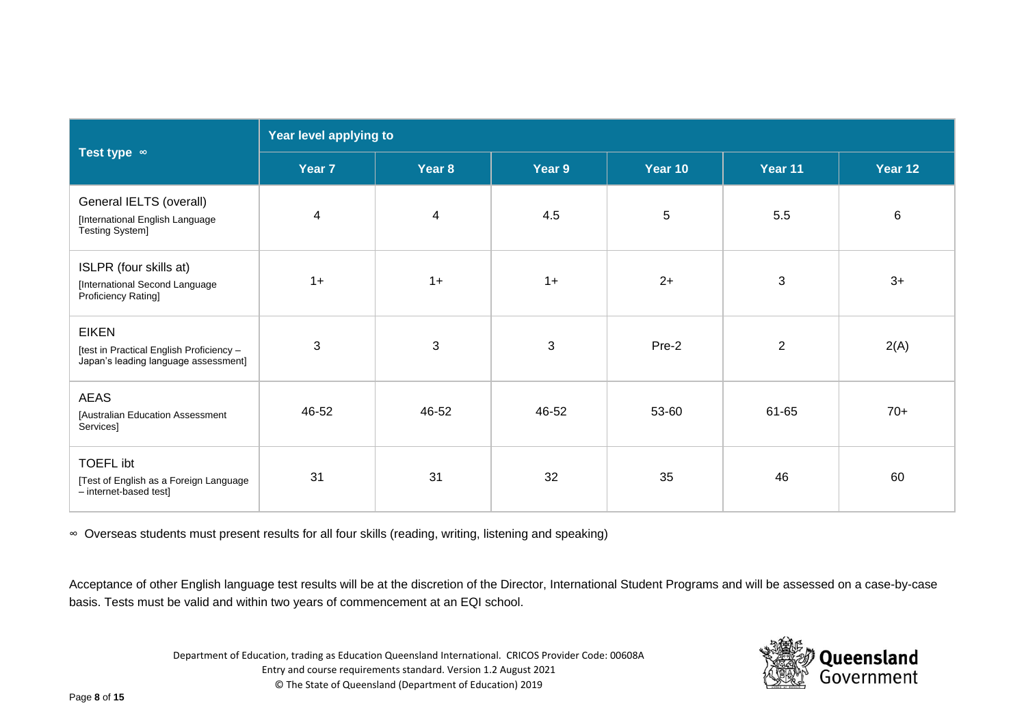|                                                                                                  | Year level applying to |                |                           |         |                |         |  |  |
|--------------------------------------------------------------------------------------------------|------------------------|----------------|---------------------------|---------|----------------|---------|--|--|
| Test type $\infty$                                                                               | Year 7                 | Year 8         | Year 9                    | Year 10 | Year 11        | Year 12 |  |  |
| General IELTS (overall)<br>[International English Language<br>Testing System]                    | $\overline{4}$         | $\overline{4}$ | 4.5                       | $5\,$   | 5.5            | 6       |  |  |
| ISLPR (four skills at)<br>[International Second Language<br>Proficiency Rating]                  | $1+$                   | $1+$           | $1+$                      | $2+$    | 3              | $3+$    |  |  |
| <b>EIKEN</b><br>[test in Practical English Proficiency -<br>Japan's leading language assessment] | $\mathbf{3}$           | $\mathbf{3}$   | $\ensuremath{\mathsf{3}}$ | Pre-2   | $\overline{2}$ | 2(A)    |  |  |
| <b>AEAS</b><br>[Australian Education Assessment<br>Services]                                     | 46-52                  | 46-52          | 46-52                     | 53-60   | 61-65          | $70+$   |  |  |
| <b>TOEFL ibt</b><br>[Test of English as a Foreign Language<br>- internet-based test]             | 31                     | 31             | 32                        | 35      | 46             | 60      |  |  |

∞ Overseas students must present results for all four skills (reading, writing, listening and speaking)

Acceptance of other English language test results will be at the discretion of the Director, International Student Programs and will be assessed on a case-by-case basis. Tests must be valid and within two years of commencement at an EQI school.

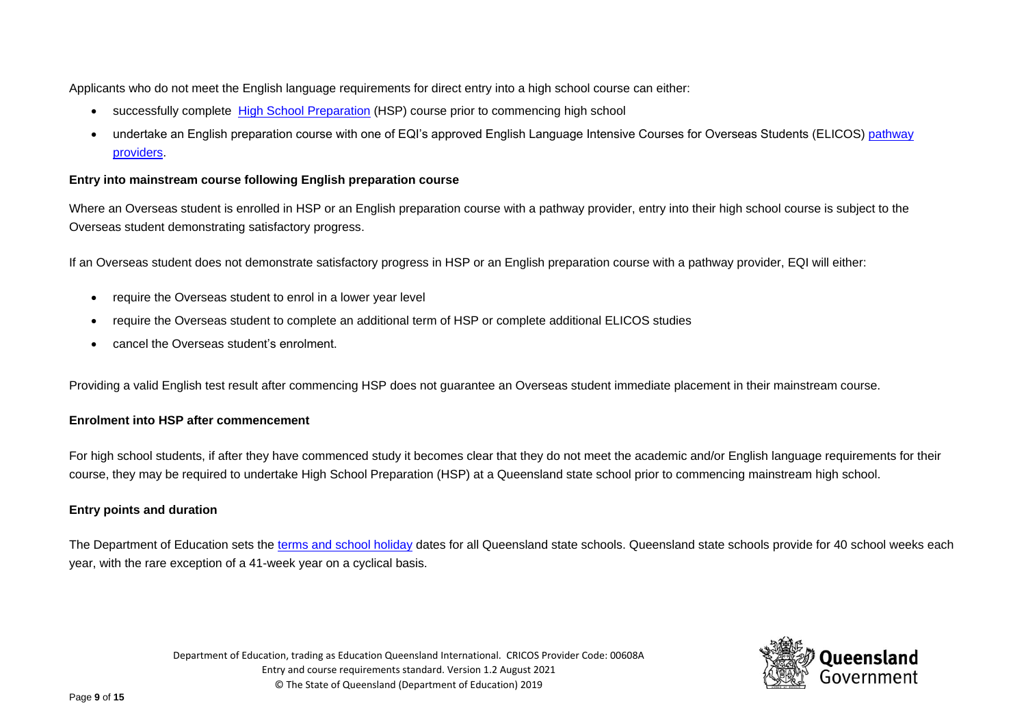Applicants who do not meet the English language requirements for direct entry into a high school course can either:

- successfully complete [High School Preparation](https://eqi.com.au/study-options/high-school/high-school-preparation) (HSP) course prior to commencing high school
- undertake an English preparation course with one of EQI's approved English Language Intensive Courses for Overseas Students (ELICOS) pathway [providers.](https://eqi.com.au/study-options/pathways)

## **Entry into mainstream course following English preparation course**

Where an Overseas student is enrolled in HSP or an English preparation course with a pathway provider, entry into their high school course is subject to the Overseas student demonstrating satisfactory progress.

If an Overseas student does not demonstrate satisfactory progress in HSP or an English preparation course with a pathway provider, EQI will either:

- require the Overseas student to enrol in a lower year level
- require the Overseas student to complete an additional term of HSP or complete additional ELICOS studies
- cancel the Overseas student's enrolment.

Providing a valid English test result after commencing HSP does not guarantee an Overseas student immediate placement in their mainstream course.

## **Enrolment into HSP after commencement**

For high school students, if after they have commenced study it becomes clear that they do not meet the academic and/or English language requirements for their course, they may be required to undertake High School Preparation (HSP) at a Queensland state school prior to commencing mainstream high school.

## **Entry points and duration**

The Department of Education sets the [terms and school holiday](https://education.qld.gov.au/about-us/calendar/term-dates) dates for all Queensland state schools. Queensland state schools provide for 40 school weeks each year, with the rare exception of a 41-week year on a cyclical basis.

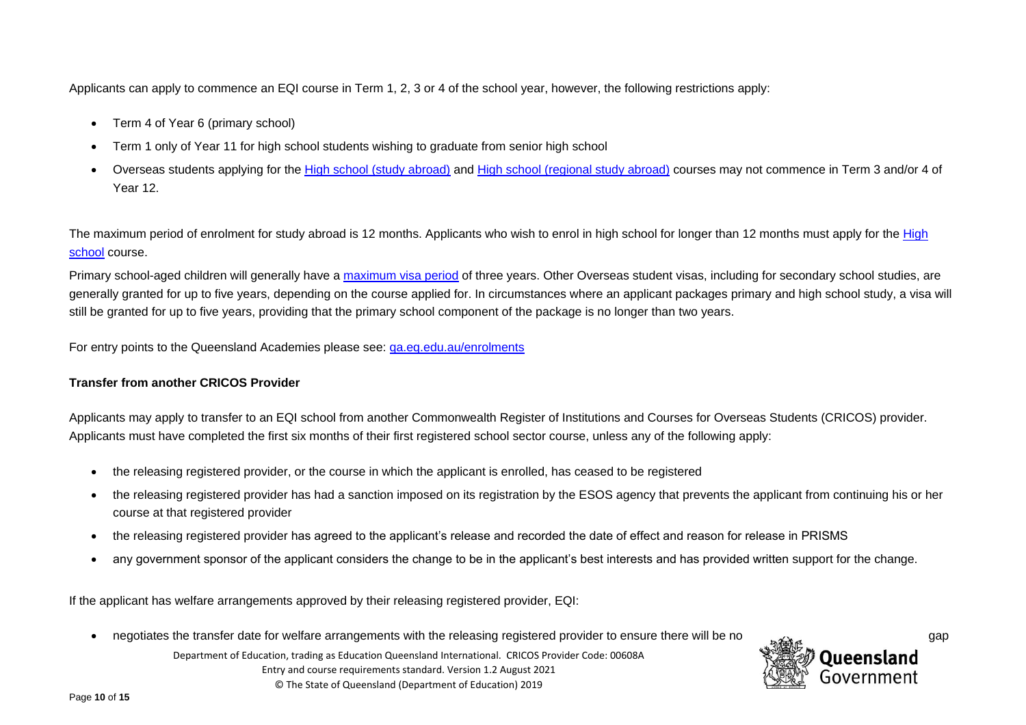Applicants can apply to commence an EQI course in Term 1, 2, 3 or 4 of the school year, however, the following restrictions apply:

- Term 4 of Year 6 (primary school)
- Term 1 only of Year 11 for high school students wishing to graduate from senior high school
- Overseas students applying for the [High school \(study abroad\)](https://eqi.com.au/study-options/high-school/study-abroad-high-school) and [High school \(regional study abroad\)](https://eqi.com.au/study-options/high-school/regional-high-school-abroad) courses may not commence in Term 3 and/or 4 of Year 12.

The maximum period of enrolment for study abroad is 12 months. Applicants who wish to enrol in high school for longer than 12 months must apply for the High [school](https://eqi.com.au/study-options/high-school/study-at-high-school) course.

Primary school-aged children will generally have a [maximum visa period](https://immi.homeaffairs.gov.au/visas/getting-a-visa/visa-listing/student-500/length-of-stay) of three years. Other Overseas student visas, including for secondary school studies, are generally granted for up to five years, depending on the course applied for. In circumstances where an applicant packages primary and high school study, a visa will still be granted for up to five years, providing that the primary school component of the package is no longer than two years.

For entry points to the Queensland Academies please see: [qa.eq.edu.au/enrolments](https://qa.eq.edu.au/enrolments)

## **Transfer from another CRICOS Provider**

Applicants may apply to transfer to an EQI school from another Commonwealth Register of Institutions and Courses for Overseas Students (CRICOS) provider. Applicants must have completed the first six months of their first registered school sector course, unless any of the following apply:

- the releasing registered provider, or the course in which the applicant is enrolled, has ceased to be registered
- the releasing registered provider has had a sanction imposed on its registration by the ESOS agency that prevents the applicant from continuing his or her course at that registered provider
- the releasing registered provider has agreed to the applicant's release and recorded the date of effect and reason for release in PRISMS
- any government sponsor of the applicant considers the change to be in the applicant's best interests and has provided written support for the change.

If the applicant has welfare arrangements approved by their releasing registered provider, EQI:

• negotiates the transfer date for welfare arrangements with the releasing registered provider to ensure there will be no gap

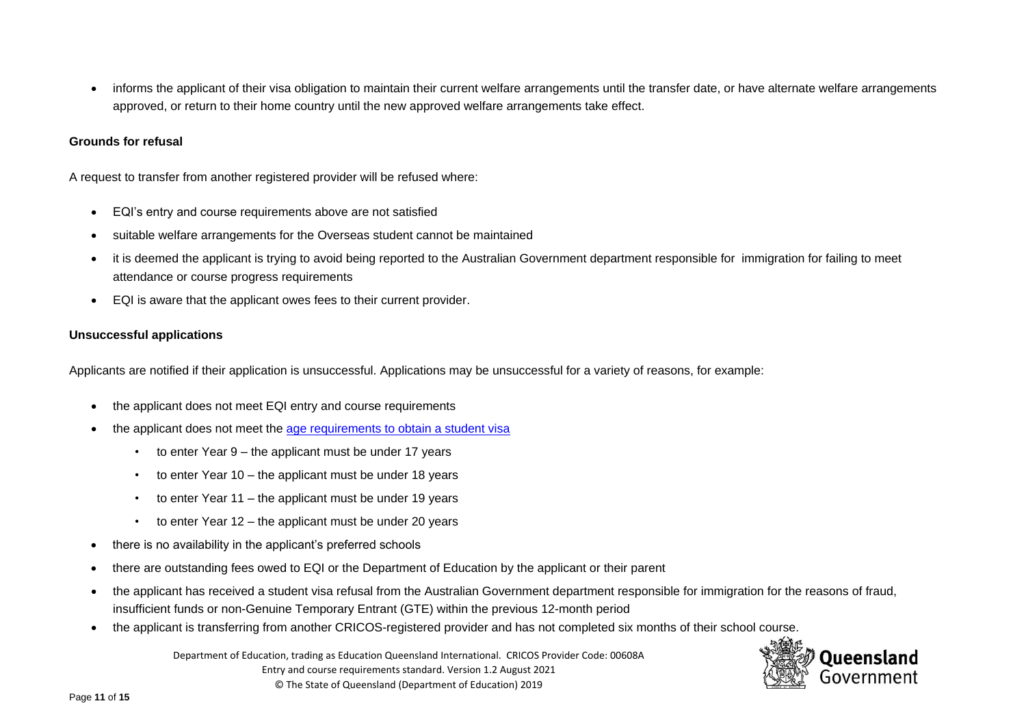• informs the applicant of their visa obligation to maintain their current welfare arrangements until the transfer date, or have alternate welfare arrangements approved, or return to their home country until the new approved welfare arrangements take effect.

#### **Grounds for refusal**

A request to transfer from another registered provider will be refused where:

- EQI's entry and course requirements above are not satisfied
- suitable welfare arrangements for the Overseas student cannot be maintained
- it is deemed the applicant is trying to avoid being reported to the Australian Government department responsible for immigration for failing to meet attendance or course progress requirements
- EQI is aware that the applicant owes fees to their current provider.

#### **Unsuccessful applications**

Applicants are notified if their application is unsuccessful. Applications may be unsuccessful for a variety of reasons, for example:

- the applicant does not meet EQI entry and course requirements
- the applicant does not meet the [age requirements to obtain a student visa](https://immi.homeaffairs.gov.au/visas/getting-a-visa/visa-listing/student-500#Eligibility)
	- to enter Year 9 the applicant must be under 17 years
	- to enter Year 10 the applicant must be under 18 years
	- to enter Year 11 the applicant must be under 19 years
	- to enter Year 12 the applicant must be under 20 years
- there is no availability in the applicant's preferred schools
- there are outstanding fees owed to EQI or the Department of Education by the applicant or their parent
- the applicant has received a student visa refusal from the Australian Government department responsible for immigration for the reasons of fraud, insufficient funds or non-Genuine Temporary Entrant (GTE) within the previous 12-month period
- the applicant is transferring from another CRICOS-registered provider and has not completed six months of their school course.

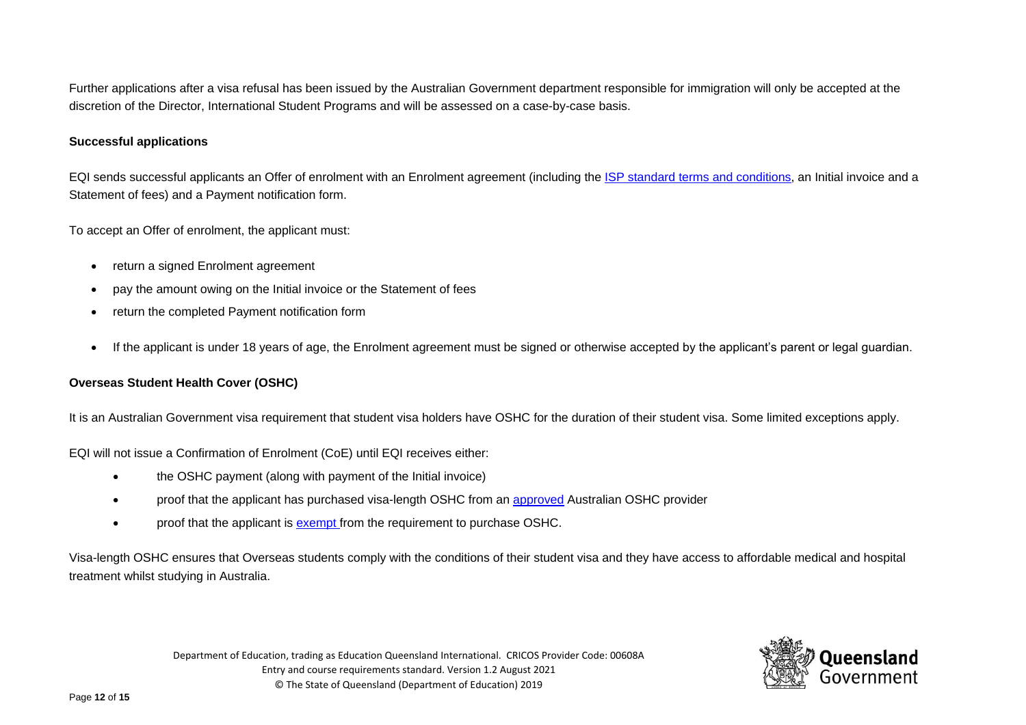Further applications after a visa refusal has been issued by the Australian Government department responsible for immigration will only be accepted at the discretion of the Director, International Student Programs and will be assessed on a case-by-case basis.

#### **Successful applications**

EQI sends successful applicants an Offer of enrolment with an Enrolment agreement (including the [ISP standard terms and conditions,](https://ppr.qed.qld.gov.au/attachment/ISP-standard-terms-and-conditions.pdf) an Initial invoice and a Statement of fees) and a Payment notification form.

To accept an Offer of enrolment, the applicant must:

- return a signed Enrolment agreement
- pay the amount owing on the Initial invoice or the Statement of fees
- return the completed Payment notification form
- If the applicant is under 18 years of age, the Enrolment agreement must be signed or otherwise accepted by the applicant's parent or legal guardian.

## **Overseas Student Health Cover (OSHC)**

It is an Australian Government visa requirement that student visa holders have OSHC for the duration of their student visa. Some limited exceptions apply.

EQI will not issue a Confirmation of Enrolment (CoE) until EQI receives either:

- the OSHC payment (along with payment of the Initial invoice)
- proof that the applicant has purchased visa-length OSHC from an [approved](https://www.privatehealth.gov.au/health_insurance/overseas/) Australian OSHC provider
- proof that the applicant is [exempt f](https://www.servicesaustralia.gov.au/individuals/services/medicare/reciprocal-health-care-agreements/when-you-visit-australia)rom the requirement to purchase OSHC.

Visa-length OSHC ensures that Overseas students comply with the conditions of their student visa and they have access to affordable medical and hospital treatment whilst studying in Australia.

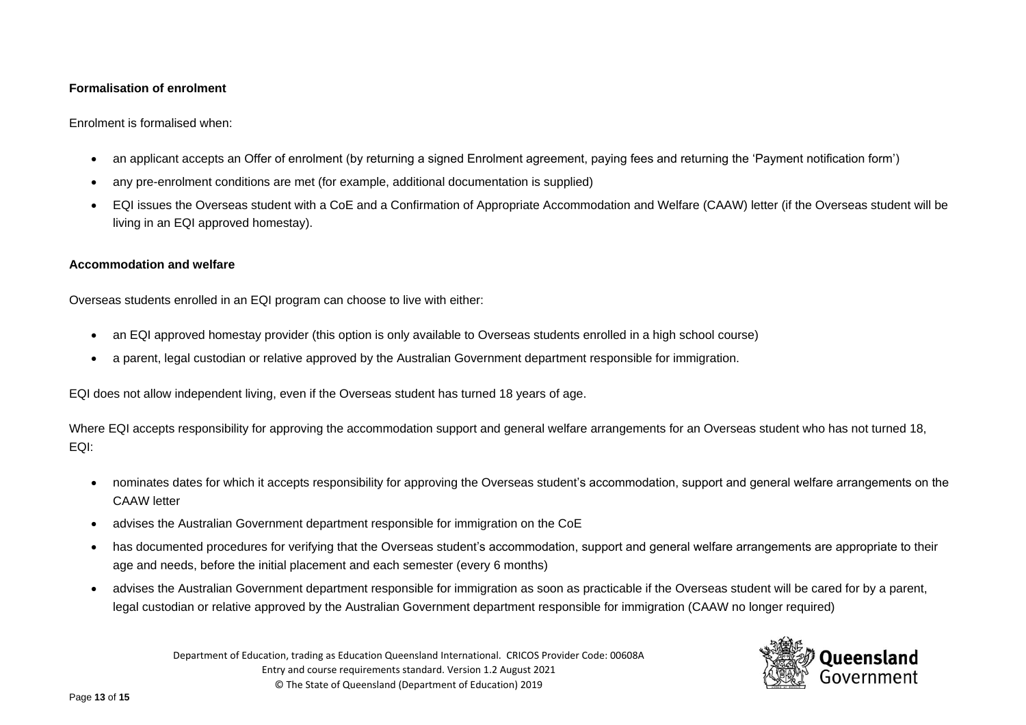#### **Formalisation of enrolment**

Enrolment is formalised when:

- an applicant accepts an Offer of enrolment (by returning a signed Enrolment agreement, paying fees and returning the 'Payment notification form')
- any pre-enrolment conditions are met (for example, additional documentation is supplied)
- EQI issues the Overseas student with a CoE and a Confirmation of Appropriate Accommodation and Welfare (CAAW) letter (if the Overseas student will be living in an EQI approved homestay).

## **Accommodation and welfare**

Overseas students enrolled in an EQI program can choose to live with either:

- an EQI approved homestay provider (this option is only available to Overseas students enrolled in a high school course)
- a parent, legal custodian or relative approved by the Australian Government department responsible for immigration.

EQI does not allow independent living, even if the Overseas student has turned 18 years of age.

Where EQI accepts responsibility for approving the accommodation support and general welfare arrangements for an Overseas student who has not turned 18, EQI:

- nominates dates for which it accepts responsibility for approving the Overseas student's accommodation, support and general welfare arrangements on the CAAW letter
- advises the Australian Government department responsible for immigration on the CoE
- has documented procedures for verifying that the Overseas student's accommodation, support and general welfare arrangements are appropriate to their age and needs, before the initial placement and each semester (every 6 months)
- advises the Australian Government department responsible for immigration as soon as practicable if the Overseas student will be cared for by a parent, legal custodian or relative approved by the Australian Government department responsible for immigration (CAAW no longer required)

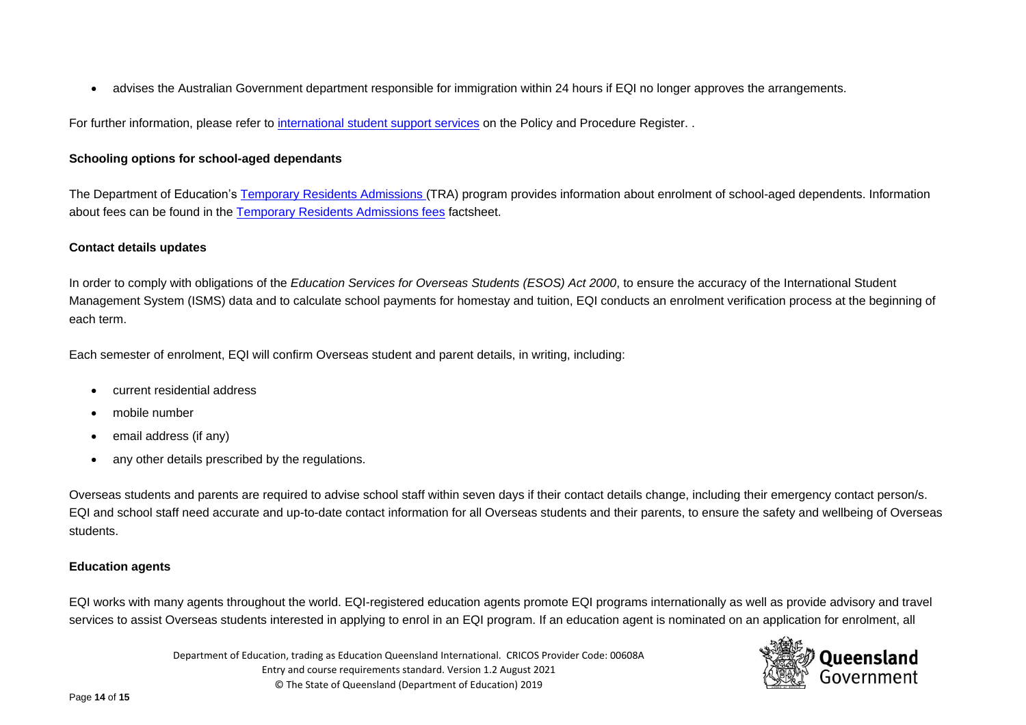• advises the Australian Government department responsible for immigration within 24 hours if EQI no longer approves the arrangements.

For further information, please refer to [international student support services](https://ppr.qed.qld.gov.au/category/international-students/international-student-support-services) on the Policy and Procedure Register. .

## **Schooling options for school-aged dependants**

The Department of Education's [Temporary Residents Admissions](https://eqi.com.au/study-options/temporary-residents) (TRA) program provides information about enrolment of school-aged dependents. Information about fees can be found in the [Temporary Residents Admissions fees](https://eqi.com.au/tracpdf/tra-fees.pdf) factsheet.

## **Contact details updates**

In order to comply with obligations of the *Education Services for Overseas Students (ESOS) Act 2000*, to ensure the accuracy of the International Student Management System (ISMS) data and to calculate school payments for homestay and tuition, EQI conducts an enrolment verification process at the beginning of each term.

Each semester of enrolment, EQI will confirm Overseas student and parent details, in writing, including:

- current residential address
- mobile number
- email address (if any)
- any other details prescribed by the regulations.

Overseas students and parents are required to advise school staff within seven days if their contact details change, including their emergency contact person/s. EQI and school staff need accurate and up-to-date contact information for all Overseas students and their parents, to ensure the safety and wellbeing of Overseas students.

## **Education agents**

EQI works with many agents throughout the world. EQI-registered education agents promote EQI programs internationally as well as provide advisory and travel services to assist Overseas students interested in applying to enrol in an EQI program. If an education agent is nominated on an application for enrolment, all